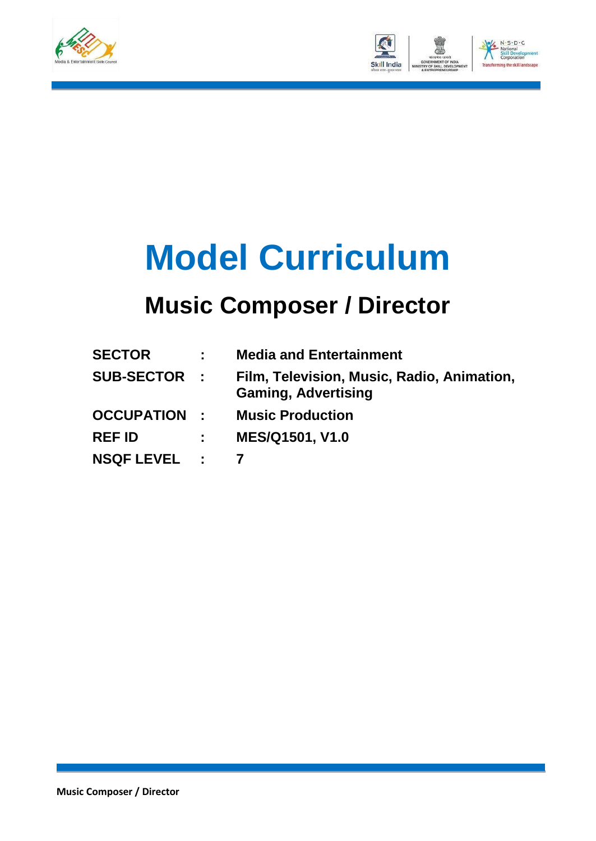



# **Model Curriculum**

### **Music Composer / Director**

| <b>SECTOR</b>       |                         | <b>Media and Entertainment</b>                                           |
|---------------------|-------------------------|--------------------------------------------------------------------------|
| <b>SUB-SECTOR :</b> |                         | Film, Television, Music, Radio, Animation,<br><b>Gaming, Advertising</b> |
| <b>OCCUPATION :</b> |                         | <b>Music Production</b>                                                  |
| <b>REF ID</b>       | <b>Carl Corporation</b> | <b>MES/Q1501, V1.0</b>                                                   |
| NSQF LEVEL : 7      |                         |                                                                          |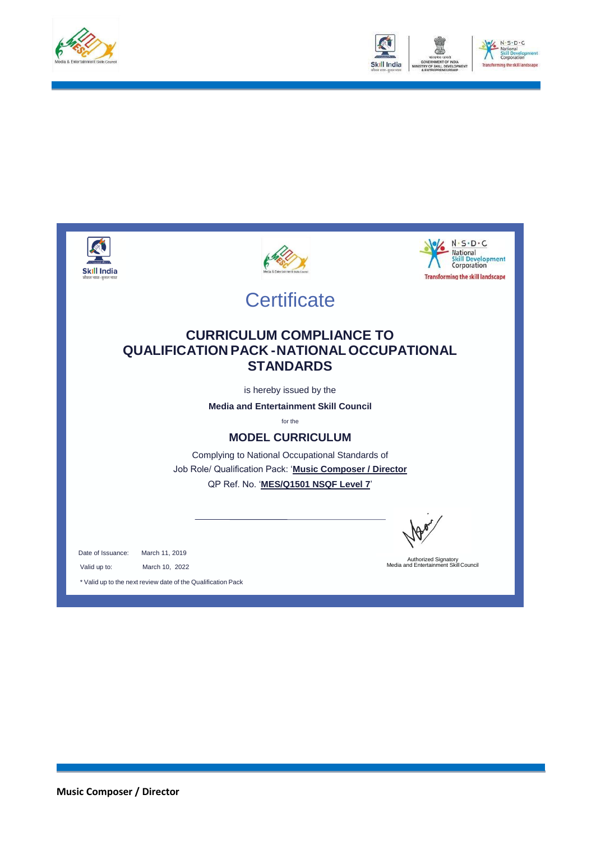





**Music Composer / Director**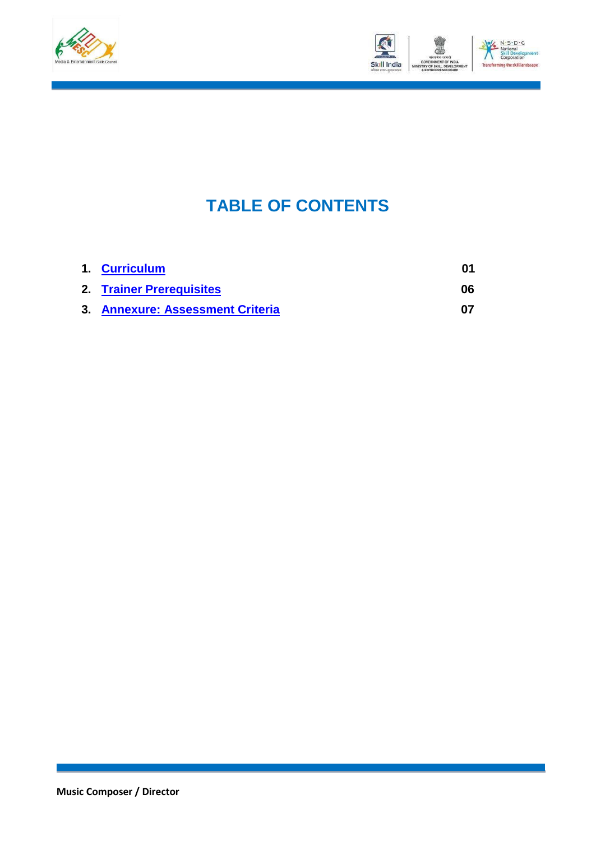



### **TABLE OF CONTENTS**

| 1. Curriculum                    |    |
|----------------------------------|----|
| 2. Trainer Prerequisites         | 06 |
| 3. Annexure: Assessment Criteria |    |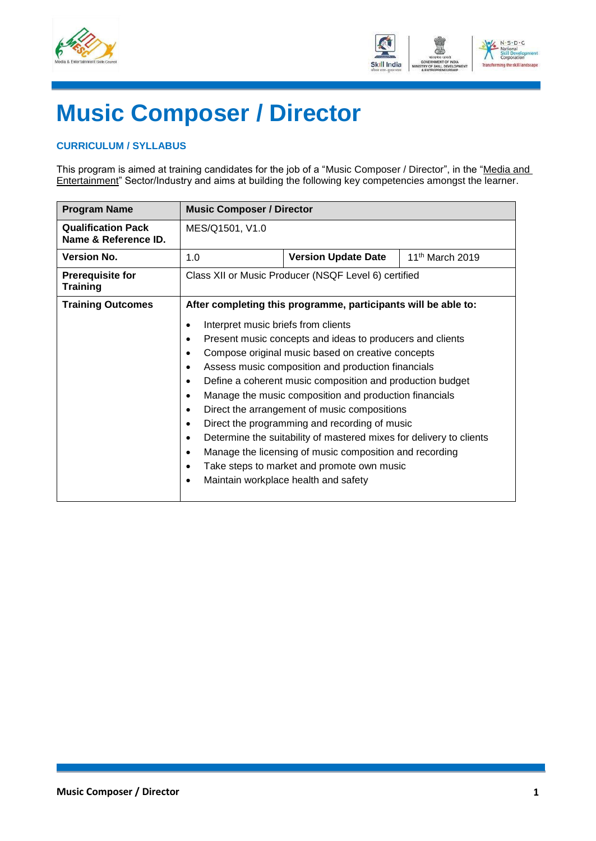



## **Music Composer / Director**

#### <span id="page-3-0"></span>**CURRICULUM / SYLLABUS**

This program is aimed at training candidates for the job of a "Music Composer / Director", in the "Media and Entertainment" Sector/Industry and aims at building the following key competencies amongst the learner.

| <b>Program Name</b>                               | <b>Music Composer / Director</b>                                                                                                                                      |                                                                                                                                                                                                                                                                                                                                                                                                                                                                                                                                                                                                  |                             |
|---------------------------------------------------|-----------------------------------------------------------------------------------------------------------------------------------------------------------------------|--------------------------------------------------------------------------------------------------------------------------------------------------------------------------------------------------------------------------------------------------------------------------------------------------------------------------------------------------------------------------------------------------------------------------------------------------------------------------------------------------------------------------------------------------------------------------------------------------|-----------------------------|
| <b>Qualification Pack</b><br>Name & Reference ID. | MES/Q1501, V1.0                                                                                                                                                       |                                                                                                                                                                                                                                                                                                                                                                                                                                                                                                                                                                                                  |                             |
| <b>Version No.</b>                                | 1.0                                                                                                                                                                   | <b>Version Update Date</b>                                                                                                                                                                                                                                                                                                                                                                                                                                                                                                                                                                       | 11 <sup>th</sup> March 2019 |
| <b>Prerequisite for</b><br><b>Training</b>        |                                                                                                                                                                       | Class XII or Music Producer (NSQF Level 6) certified                                                                                                                                                                                                                                                                                                                                                                                                                                                                                                                                             |                             |
| <b>Training Outcomes</b>                          | Interpret music briefs from clients<br>$\bullet$<br>$\bullet$<br>$\bullet$<br>$\bullet$<br>$\bullet$<br>$\bullet$<br>$\bullet$<br>$\bullet$<br>$\bullet$<br>$\bullet$ | After completing this programme, participants will be able to:<br>Present music concepts and ideas to producers and clients<br>Compose original music based on creative concepts<br>Assess music composition and production financials<br>Define a coherent music composition and production budget<br>Manage the music composition and production financials<br>Direct the arrangement of music compositions<br>Direct the programming and recording of music<br>Determine the suitability of mastered mixes for delivery to clients<br>Manage the licensing of music composition and recording |                             |
|                                                   | $\bullet$<br>$\bullet$                                                                                                                                                | Take steps to market and promote own music<br>Maintain workplace health and safety                                                                                                                                                                                                                                                                                                                                                                                                                                                                                                               |                             |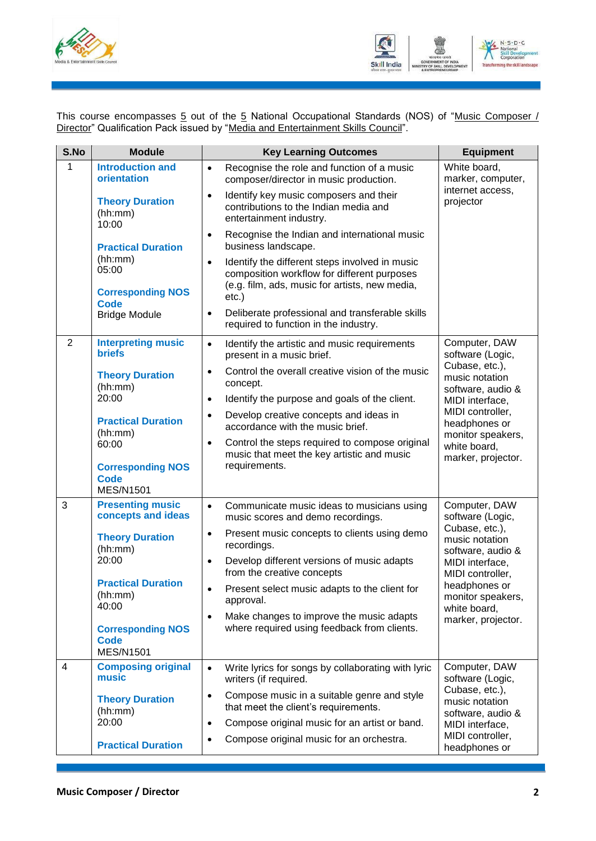



This course encompasses <u>5</u> out of the <u>5</u> National Occupational Standards (NOS) of "<u>Music Composer /</u> Director" Qualification Pack issued by "Media and Entertainment Skills Council".

| S.No           | <b>Module</b>                                               | <b>Key Learning Outcomes</b>                                                                                                                                 | <b>Equipment</b>                                       |
|----------------|-------------------------------------------------------------|--------------------------------------------------------------------------------------------------------------------------------------------------------------|--------------------------------------------------------|
| 1              | <b>Introduction and</b><br>orientation                      | Recognise the role and function of a music<br>$\bullet$<br>composer/director in music production.<br>Identify key music composers and their<br>$\bullet$     | White board,<br>marker, computer,<br>internet access,  |
|                | <b>Theory Duration</b><br>(hh:mm)<br>10:00                  | contributions to the Indian media and<br>entertainment industry.                                                                                             | projector                                              |
|                | <b>Practical Duration</b>                                   | Recognise the Indian and international music<br>$\bullet$<br>business landscape.                                                                             |                                                        |
|                | (hh:mm)<br>05:00<br><b>Corresponding NOS</b>                | Identify the different steps involved in music<br>$\bullet$<br>composition workflow for different purposes<br>(e.g. film, ads, music for artists, new media, |                                                        |
|                | <b>Code</b><br><b>Bridge Module</b>                         | $etc.$ )<br>Deliberate professional and transferable skills<br>$\bullet$<br>required to function in the industry.                                            |                                                        |
| $\overline{2}$ | <b>Interpreting music</b><br><b>briefs</b>                  | Identify the artistic and music requirements<br>$\bullet$<br>present in a music brief.                                                                       | Computer, DAW<br>software (Logic,                      |
|                | <b>Theory Duration</b><br>(hh:mm)                           | Control the overall creative vision of the music<br>$\bullet$<br>concept.                                                                                    | Cubase, etc.),<br>music notation<br>software, audio &  |
|                | 20:00                                                       | Identify the purpose and goals of the client.<br>$\bullet$                                                                                                   | MIDI interface,                                        |
|                | <b>Practical Duration</b><br>(hh:mm)                        | Develop creative concepts and ideas in<br>$\bullet$<br>accordance with the music brief.                                                                      | MIDI controller,<br>headphones or<br>monitor speakers, |
|                | 60:00                                                       | Control the steps required to compose original<br>$\bullet$<br>music that meet the key artistic and music                                                    | white board,<br>marker, projector.                     |
|                | <b>Corresponding NOS</b><br><b>Code</b><br><b>MES/N1501</b> | requirements.                                                                                                                                                |                                                        |
| 3              | <b>Presenting music</b><br>concepts and ideas               | $\bullet$<br>Communicate music ideas to musicians using<br>music scores and demo recordings.                                                                 | Computer, DAW<br>software (Logic,                      |
|                | <b>Theory Duration</b><br>(hh:mm)                           | Present music concepts to clients using demo<br>$\bullet$<br>recordings.                                                                                     | Cubase, etc.),<br>music notation<br>software, audio &  |
|                | 20:00                                                       | Develop different versions of music adapts<br>$\bullet$<br>from the creative concepts                                                                        | MIDI interface,<br>MIDI controller,                    |
|                | <b>Practical Duration</b><br>(hh:mm)<br>40:00               | Present select music adapts to the client for<br>approval.                                                                                                   | headphones or<br>monitor speakers,<br>white board,     |
|                | <b>Corresponding NOS</b><br><b>Code</b><br><b>MES/N1501</b> | Make changes to improve the music adapts<br>$\bullet$<br>where required using feedback from clients.                                                         | marker, projector.                                     |
| 4              | <b>Composing original</b>                                   | Write lyrics for songs by collaborating with lyric<br>$\bullet$                                                                                              | Computer, DAW                                          |
|                | music                                                       | writers (if required.                                                                                                                                        | software (Logic,                                       |
|                | <b>Theory Duration</b><br>(hh:mm)                           | Compose music in a suitable genre and style<br>$\bullet$<br>that meet the client's requirements.                                                             | Cubase, etc.),<br>music notation<br>software, audio &  |
|                | 20:00                                                       | Compose original music for an artist or band.<br>$\bullet$                                                                                                   | MIDI interface,                                        |
|                | <b>Practical Duration</b>                                   | Compose original music for an orchestra.                                                                                                                     | MIDI controller,<br>headphones or                      |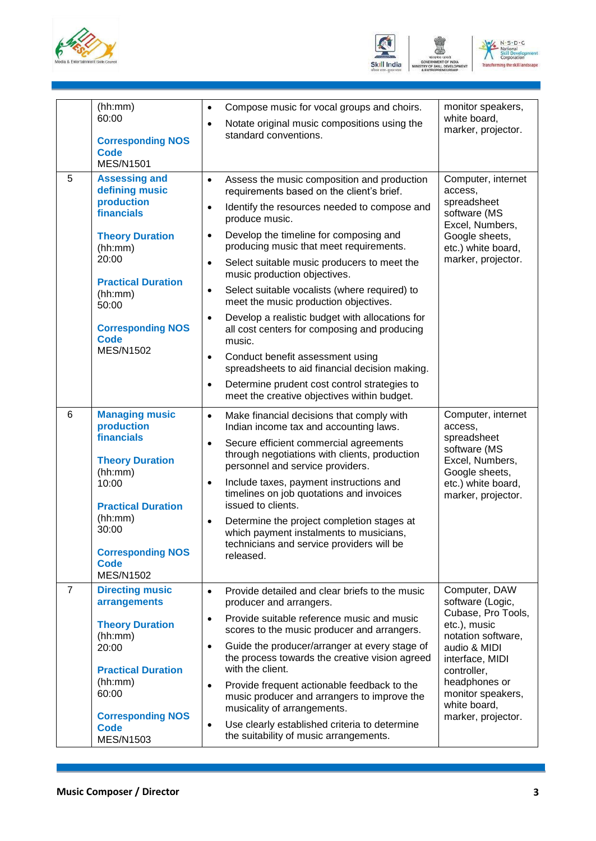





|   | (hh:mm)<br>60:00<br><b>Corresponding NOS</b><br><b>Code</b><br><b>MES/N1501</b>                                                                                                                                                  | Compose music for vocal groups and choirs.<br>$\bullet$<br>Notate original music compositions using the<br>$\bullet$<br>standard conventions.                                                                                                                                                                                                                                                                                                                                                                                                                                                                                                                                                                                                                                                                                      | monitor speakers,<br>white board,<br>marker, projector.                                                                                                                                                                     |
|---|----------------------------------------------------------------------------------------------------------------------------------------------------------------------------------------------------------------------------------|------------------------------------------------------------------------------------------------------------------------------------------------------------------------------------------------------------------------------------------------------------------------------------------------------------------------------------------------------------------------------------------------------------------------------------------------------------------------------------------------------------------------------------------------------------------------------------------------------------------------------------------------------------------------------------------------------------------------------------------------------------------------------------------------------------------------------------|-----------------------------------------------------------------------------------------------------------------------------------------------------------------------------------------------------------------------------|
| 5 | <b>Assessing and</b><br>defining music<br>production<br>financials<br><b>Theory Duration</b><br>(hh:mm)<br>20:00<br><b>Practical Duration</b><br>(hh:mm)<br>50:00<br><b>Corresponding NOS</b><br><b>Code</b><br><b>MES/N1502</b> | Assess the music composition and production<br>$\bullet$<br>requirements based on the client's brief.<br>Identify the resources needed to compose and<br>$\bullet$<br>produce music.<br>Develop the timeline for composing and<br>$\bullet$<br>producing music that meet requirements.<br>Select suitable music producers to meet the<br>$\bullet$<br>music production objectives.<br>Select suitable vocalists (where required) to<br>$\bullet$<br>meet the music production objectives.<br>Develop a realistic budget with allocations for<br>$\bullet$<br>all cost centers for composing and producing<br>music.<br>Conduct benefit assessment using<br>$\bullet$<br>spreadsheets to aid financial decision making.<br>Determine prudent cost control strategies to<br>$\bullet$<br>meet the creative objectives within budget. | Computer, internet<br>access.<br>spreadsheet<br>software (MS<br>Excel, Numbers,<br>Google sheets,<br>etc.) white board,<br>marker, projector.                                                                               |
| 6 | <b>Managing music</b><br>production<br>financials<br><b>Theory Duration</b><br>(hh:mm)<br>10:00<br><b>Practical Duration</b><br>(hh:mm)<br>30:00<br><b>Corresponding NOS</b><br><b>Code</b><br><b>MES/N1502</b>                  | Make financial decisions that comply with<br>$\bullet$<br>Indian income tax and accounting laws.<br>Secure efficient commercial agreements<br>$\bullet$<br>through negotiations with clients, production<br>personnel and service providers.<br>Include taxes, payment instructions and<br>$\bullet$<br>timelines on job quotations and invoices<br>issued to clients.<br>Determine the project completion stages at<br>$\bullet$<br>which payment instalments to musicians,<br>technicians and service providers will be<br>released.                                                                                                                                                                                                                                                                                             | Computer, internet<br>access,<br>spreadsheet<br>software (MS<br>Excel, Numbers,<br>Google sheets,<br>etc.) white board,<br>marker, projector.                                                                               |
| 7 | <b>Directing music</b><br>arrangements<br><b>Theory Duration</b><br>(hh:mm)<br>20:00<br><b>Practical Duration</b><br>(hh:mm)<br>60:00<br><b>Corresponding NOS</b><br><b>Code</b><br><b>MES/N1503</b>                             | Provide detailed and clear briefs to the music<br>$\bullet$<br>producer and arrangers.<br>Provide suitable reference music and music<br>$\bullet$<br>scores to the music producer and arrangers.<br>Guide the producer/arranger at every stage of<br>$\bullet$<br>the process towards the creative vision agreed<br>with the client.<br>Provide frequent actionable feedback to the<br>$\bullet$<br>music producer and arrangers to improve the<br>musicality of arrangements.<br>Use clearly established criteria to determine<br>$\bullet$<br>the suitability of music arrangements.                                                                                                                                                                                                                                             | Computer, DAW<br>software (Logic,<br>Cubase, Pro Tools,<br>etc.), music<br>notation software,<br>audio & MIDI<br>interface, MIDI<br>controller,<br>headphones or<br>monitor speakers,<br>white board,<br>marker, projector. |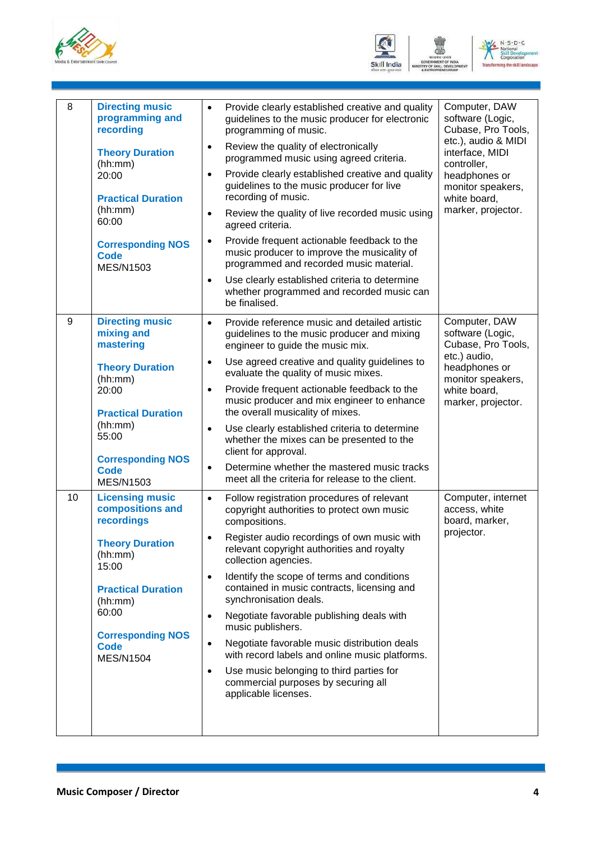





| 8  | <b>Directing music</b><br>programming and<br>recording<br><b>Theory Duration</b><br>(hh:mm)<br>20:00<br><b>Practical Duration</b><br>(hh:mm)<br>60:00<br><b>Corresponding NOS</b><br><b>Code</b><br><b>MES/N1503</b>   | Provide clearly established creative and quality<br>$\bullet$<br>guidelines to the music producer for electronic<br>programming of music.<br>Review the quality of electronically<br>$\bullet$<br>programmed music using agreed criteria.<br>Provide clearly established creative and quality<br>$\bullet$<br>guidelines to the music producer for live<br>recording of music.<br>Review the quality of live recorded music using<br>$\bullet$<br>agreed criteria.<br>Provide frequent actionable feedback to the<br>$\bullet$<br>music producer to improve the musicality of<br>programmed and recorded music material.<br>Use clearly established criteria to determine<br>$\bullet$<br>whether programmed and recorded music can | Computer, DAW<br>software (Logic,<br>Cubase, Pro Tools,<br>etc.), audio & MIDI<br>interface, MIDI<br>controller,<br>headphones or<br>monitor speakers,<br>white board,<br>marker, projector. |
|----|------------------------------------------------------------------------------------------------------------------------------------------------------------------------------------------------------------------------|-------------------------------------------------------------------------------------------------------------------------------------------------------------------------------------------------------------------------------------------------------------------------------------------------------------------------------------------------------------------------------------------------------------------------------------------------------------------------------------------------------------------------------------------------------------------------------------------------------------------------------------------------------------------------------------------------------------------------------------|----------------------------------------------------------------------------------------------------------------------------------------------------------------------------------------------|
|    |                                                                                                                                                                                                                        | be finalised.                                                                                                                                                                                                                                                                                                                                                                                                                                                                                                                                                                                                                                                                                                                       |                                                                                                                                                                                              |
| 9  | <b>Directing music</b><br>mixing and<br>mastering<br><b>Theory Duration</b><br>(hh:mm)<br>20:00<br><b>Practical Duration</b><br>(hh:mm)<br>55:00<br><b>Corresponding NOS</b><br><b>Code</b><br><b>MES/N1503</b>        | Provide reference music and detailed artistic<br>$\bullet$<br>guidelines to the music producer and mixing<br>engineer to guide the music mix.<br>Use agreed creative and quality guidelines to<br>$\bullet$<br>evaluate the quality of music mixes.<br>Provide frequent actionable feedback to the<br>$\bullet$<br>music producer and mix engineer to enhance<br>the overall musicality of mixes.<br>Use clearly established criteria to determine<br>$\bullet$<br>whether the mixes can be presented to the<br>client for approval.<br>Determine whether the mastered music tracks<br>$\bullet$<br>meet all the criteria for release to the client.                                                                                | Computer, DAW<br>software (Logic,<br>Cubase, Pro Tools,<br>etc.) audio,<br>headphones or<br>monitor speakers,<br>white board,<br>marker, projector.                                          |
| 10 | <b>Licensing music</b><br>compositions and<br>recordings<br><b>Theory Duration</b><br>(hh:mm)<br>15:00<br><b>Practical Duration</b><br>(hh:mm)<br>60:00<br><b>Corresponding NOS</b><br><b>Code</b><br><b>MES/N1504</b> | Follow registration procedures of relevant<br>$\bullet$<br>copyright authorities to protect own music<br>compositions.<br>Register audio recordings of own music with<br>relevant copyright authorities and royalty<br>collection agencies.<br>Identify the scope of terms and conditions<br>$\bullet$<br>contained in music contracts, licensing and<br>synchronisation deals.<br>Negotiate favorable publishing deals with<br>$\bullet$<br>music publishers.<br>Negotiate favorable music distribution deals<br>$\bullet$<br>with record labels and online music platforms.<br>Use music belonging to third parties for<br>$\bullet$<br>commercial purposes by securing all<br>applicable licenses.                               | Computer, internet<br>access, white<br>board, marker,<br>projector.                                                                                                                          |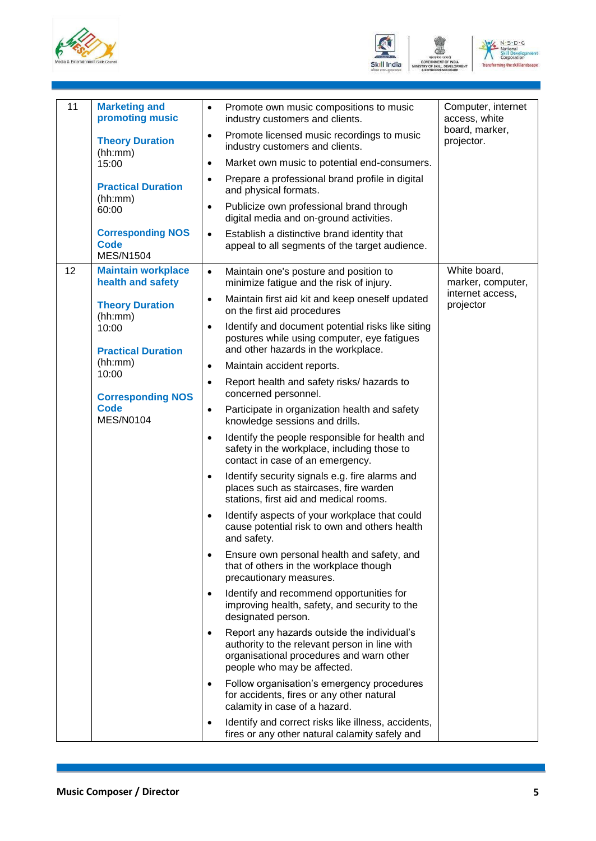





| 11 | <b>Marketing and</b><br>promoting music                     | $\bullet$ | Promote own music compositions to music<br>industry customers and clients.                                                                                              | Computer, internet<br>access, white |
|----|-------------------------------------------------------------|-----------|-------------------------------------------------------------------------------------------------------------------------------------------------------------------------|-------------------------------------|
|    | <b>Theory Duration</b><br>(hh:mm)                           | $\bullet$ | Promote licensed music recordings to music<br>industry customers and clients.                                                                                           | board, marker,<br>projector.        |
|    | 15:00                                                       | $\bullet$ | Market own music to potential end-consumers.                                                                                                                            |                                     |
|    | <b>Practical Duration</b><br>(hh:mm)                        | $\bullet$ | Prepare a professional brand profile in digital<br>and physical formats.                                                                                                |                                     |
|    | 60:00                                                       | $\bullet$ | Publicize own professional brand through<br>digital media and on-ground activities.                                                                                     |                                     |
|    | <b>Corresponding NOS</b><br><b>Code</b><br><b>MES/N1504</b> | $\bullet$ | Establish a distinctive brand identity that<br>appeal to all segments of the target audience.                                                                           |                                     |
| 12 | <b>Maintain workplace</b><br>health and safety              | $\bullet$ | Maintain one's posture and position to<br>minimize fatigue and the risk of injury.                                                                                      | White board,<br>marker, computer,   |
|    | <b>Theory Duration</b><br>(hh:mm)                           | $\bullet$ | Maintain first aid kit and keep oneself updated<br>on the first aid procedures                                                                                          | internet access,<br>projector       |
|    | 10:00<br><b>Practical Duration</b>                          | $\bullet$ | Identify and document potential risks like siting<br>postures while using computer, eye fatigues<br>and other hazards in the workplace.                                 |                                     |
|    | (hh:mm)<br>10:00                                            | $\bullet$ | Maintain accident reports.                                                                                                                                              |                                     |
|    | <b>Corresponding NOS</b>                                    | $\bullet$ | Report health and safety risks/ hazards to<br>concerned personnel.                                                                                                      |                                     |
|    | <b>Code</b><br><b>MES/N0104</b>                             | $\bullet$ | Participate in organization health and safety<br>knowledge sessions and drills.                                                                                         |                                     |
|    |                                                             | $\bullet$ | Identify the people responsible for health and<br>safety in the workplace, including those to<br>contact in case of an emergency.                                       |                                     |
|    |                                                             | $\bullet$ | Identify security signals e.g. fire alarms and<br>places such as staircases, fire warden<br>stations, first aid and medical rooms.                                      |                                     |
|    |                                                             | $\bullet$ | Identify aspects of your workplace that could<br>cause potential risk to own and others health<br>and safety.                                                           |                                     |
|    |                                                             |           | Ensure own personal health and safety, and<br>that of others in the workplace though<br>precautionary measures.                                                         |                                     |
|    |                                                             |           | Identify and recommend opportunities for<br>improving health, safety, and security to the<br>designated person.                                                         |                                     |
|    |                                                             |           | Report any hazards outside the individual's<br>authority to the relevant person in line with<br>organisational procedures and warn other<br>people who may be affected. |                                     |
|    |                                                             |           | Follow organisation's emergency procedures<br>for accidents, fires or any other natural<br>calamity in case of a hazard.                                                |                                     |
|    |                                                             |           | Identify and correct risks like illness, accidents,<br>fires or any other natural calamity safely and                                                                   |                                     |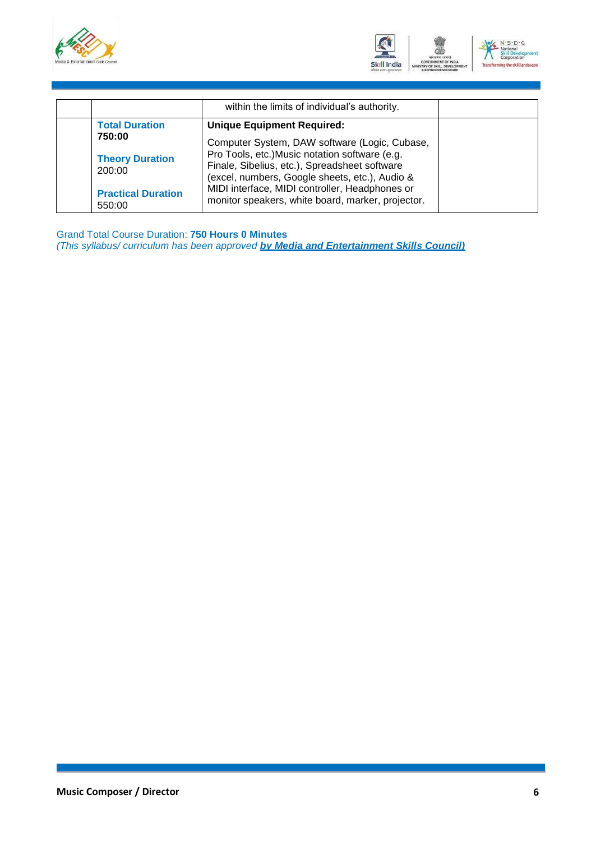



|                                     | within the limits of individual's authority.                                                                                                      |  |
|-------------------------------------|---------------------------------------------------------------------------------------------------------------------------------------------------|--|
| <b>Total Duration</b><br>750:00     | <b>Unique Equipment Required:</b><br>Computer System, DAW software (Logic, Cubase,                                                                |  |
| <b>Theory Duration</b><br>200:00    | Pro Tools, etc.) Music notation software (e.g.<br>Finale, Sibelius, etc.), Spreadsheet software<br>(excel, numbers, Google sheets, etc.), Audio & |  |
| <b>Practical Duration</b><br>550:00 | MIDI interface, MIDI controller, Headphones or<br>monitor speakers, white board, marker, projector.                                               |  |

Grand Total Course Duration: **750 Hours 0 Minutes** *(This syllabus/ curriculum has been approved by Media and Entertainment Skills Council)*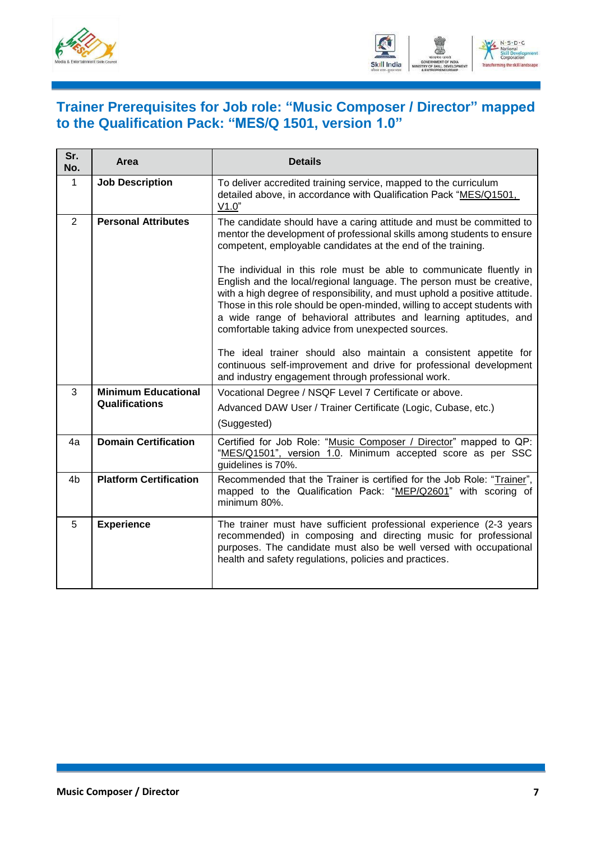



#### <span id="page-9-0"></span>**Trainer Prerequisites for Job role: "Music Composer / Director" mapped to the Qualification Pack: "MES/Q 1501, version 1.0"**

| Sr.<br>No.     | Area                          | <b>Details</b>                                                                                                                                                                                                                                                                                                                                                                                                                     |
|----------------|-------------------------------|------------------------------------------------------------------------------------------------------------------------------------------------------------------------------------------------------------------------------------------------------------------------------------------------------------------------------------------------------------------------------------------------------------------------------------|
| $\mathbf{1}$   | <b>Job Description</b>        | To deliver accredited training service, mapped to the curriculum<br>detailed above, in accordance with Qualification Pack "MES/Q1501,<br>V1.0"                                                                                                                                                                                                                                                                                     |
| 2              | <b>Personal Attributes</b>    | The candidate should have a caring attitude and must be committed to<br>mentor the development of professional skills among students to ensure<br>competent, employable candidates at the end of the training.                                                                                                                                                                                                                     |
|                |                               | The individual in this role must be able to communicate fluently in<br>English and the local/regional language. The person must be creative,<br>with a high degree of responsibility, and must uphold a positive attitude.<br>Those in this role should be open-minded, willing to accept students with<br>a wide range of behavioral attributes and learning aptitudes, and<br>comfortable taking advice from unexpected sources. |
|                |                               | The ideal trainer should also maintain a consistent appetite for<br>continuous self-improvement and drive for professional development<br>and industry engagement through professional work.                                                                                                                                                                                                                                       |
| 3              | <b>Minimum Educational</b>    | Vocational Degree / NSQF Level 7 Certificate or above.                                                                                                                                                                                                                                                                                                                                                                             |
|                | Qualifications                | Advanced DAW User / Trainer Certificate (Logic, Cubase, etc.)                                                                                                                                                                                                                                                                                                                                                                      |
|                |                               | (Suggested)                                                                                                                                                                                                                                                                                                                                                                                                                        |
| 4a             | <b>Domain Certification</b>   | Certified for Job Role: "Music Composer / Director" mapped to QP:<br>"MES/Q1501", version 1.0. Minimum accepted score as per SSC<br>guidelines is 70%.                                                                                                                                                                                                                                                                             |
| 4 <sub>b</sub> | <b>Platform Certification</b> | Recommended that the Trainer is certified for the Job Role: "Trainer",<br>mapped to the Qualification Pack: "MEP/Q2601" with scoring of<br>minimum 80%.                                                                                                                                                                                                                                                                            |
| 5              | <b>Experience</b>             | The trainer must have sufficient professional experience (2-3 years<br>recommended) in composing and directing music for professional<br>purposes. The candidate must also be well versed with occupational<br>health and safety regulations, policies and practices.                                                                                                                                                              |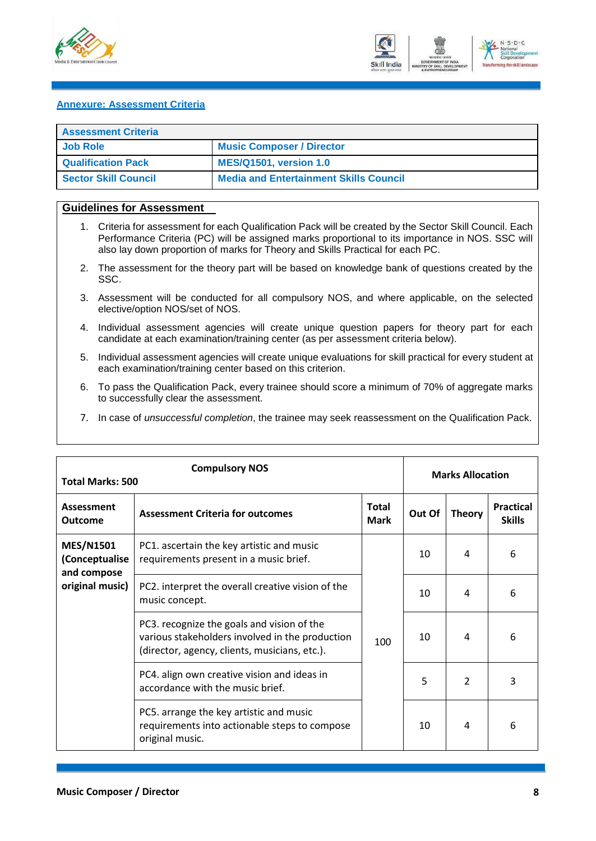



#### <span id="page-10-0"></span>**Annexure: Assessment Criteria**

| <b>Assessment Criteria</b> |                                               |
|----------------------------|-----------------------------------------------|
| <b>Job Role</b>            | <b>Music Composer / Director</b>              |
| <b>Qualification Pack</b>  | <b>MES/Q1501, version 1.0</b>                 |
| Sector Skill Council       | <b>Media and Entertainment Skills Council</b> |

#### **Guidelines for Assessment**

- 1. Criteria for assessment for each Qualification Pack will be created by the Sector Skill Council. Each Performance Criteria (PC) will be assigned marks proportional to its importance in NOS. SSC will also lay down proportion of marks for Theory and Skills Practical for each PC.
- 2. The assessment for the theory part will be based on knowledge bank of questions created by the SSC.
- 3. Assessment will be conducted for all compulsory NOS, and where applicable, on the selected elective/option NOS/set of NOS.
- 4. Individual assessment agencies will create unique question papers for theory part for each candidate at each examination/training center (as per assessment criteria below).
- 5. Individual assessment agencies will create unique evaluations for skill practical for every student at each examination/training center based on this criterion.
- 6. To pass the Qualification Pack, every trainee should score a minimum of 70% of aggregate marks to successfully clear the assessment.
- 7. In case of *unsuccessful completion*, the trainee may seek reassessment on the Qualification Pack.

|                                                   | <b>Compulsory NOS</b><br><b>Total Marks: 500</b>                                                                                               |                             |        | <b>Marks Allocation</b>  |                                   |  |
|---------------------------------------------------|------------------------------------------------------------------------------------------------------------------------------------------------|-----------------------------|--------|--------------------------|-----------------------------------|--|
| <b>Assessment</b><br><b>Outcome</b>               | <b>Assessment Criteria for outcomes</b>                                                                                                        | <b>Total</b><br><b>Mark</b> | Out Of | <b>Theory</b>            | <b>Practical</b><br><b>Skills</b> |  |
| <b>MES/N1501</b><br>(Conceptualise<br>and compose | PC1. ascertain the key artistic and music<br>requirements present in a music brief.                                                            |                             | 10     | 4                        | 6                                 |  |
| original music)                                   | PC2. interpret the overall creative vision of the<br>music concept.                                                                            | 100                         | 10     | 4                        | 6                                 |  |
|                                                   | PC3. recognize the goals and vision of the<br>various stakeholders involved in the production<br>(director, agency, clients, musicians, etc.). |                             | 10     | 4                        | 6                                 |  |
|                                                   | PC4. align own creative vision and ideas in<br>accordance with the music brief.                                                                |                             | 5      | $\overline{\phantom{a}}$ | 3                                 |  |
|                                                   | PC5. arrange the key artistic and music<br>requirements into actionable steps to compose<br>original music.                                    |                             | 10     | 4                        | 6                                 |  |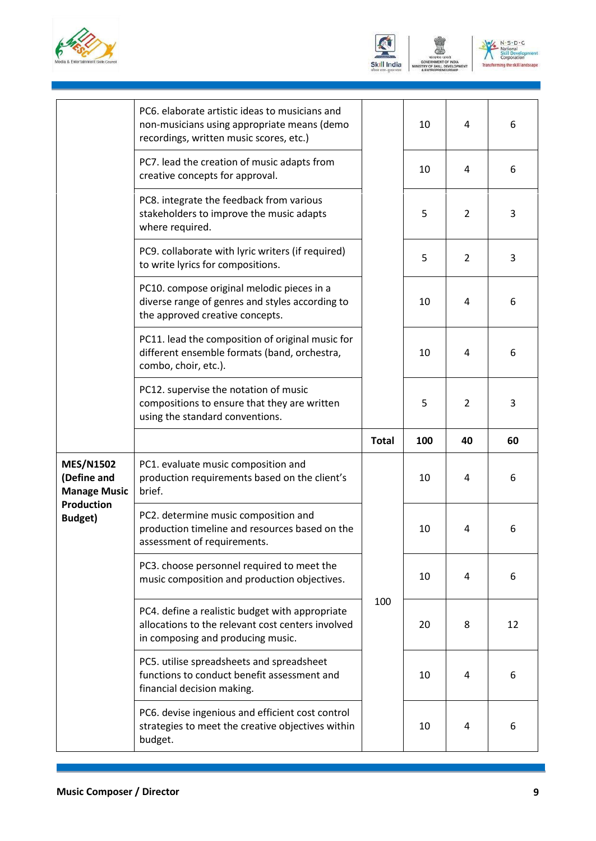





|                                                        | PC6. elaborate artistic ideas to musicians and<br>non-musicians using appropriate means (demo<br>recordings, written music scores, etc.)  |              | 10  | 4              | 6  |
|--------------------------------------------------------|-------------------------------------------------------------------------------------------------------------------------------------------|--------------|-----|----------------|----|
|                                                        | PC7. lead the creation of music adapts from<br>creative concepts for approval.                                                            |              | 10  | 4              | 6  |
|                                                        | PC8. integrate the feedback from various<br>stakeholders to improve the music adapts<br>where required.                                   |              | 5   | $\overline{2}$ | 3  |
|                                                        | PC9. collaborate with lyric writers (if required)<br>to write lyrics for compositions.                                                    |              | 5   | $\overline{2}$ | 3  |
|                                                        | PC10. compose original melodic pieces in a<br>diverse range of genres and styles according to<br>the approved creative concepts.          |              | 10  | 4              | 6  |
|                                                        | PC11. lead the composition of original music for<br>different ensemble formats (band, orchestra,<br>combo, choir, etc.).                  |              | 10  | 4              | 6  |
|                                                        | PC12. supervise the notation of music<br>compositions to ensure that they are written<br>using the standard conventions.                  |              | 5   | 2              | 3  |
|                                                        |                                                                                                                                           |              |     |                |    |
|                                                        |                                                                                                                                           | <b>Total</b> | 100 | 40             | 60 |
| <b>MES/N1502</b><br>(Define and<br><b>Manage Music</b> | PC1. evaluate music composition and<br>production requirements based on the client's<br>brief.                                            |              | 10  | 4              | 6  |
| <b>Production</b><br><b>Budget)</b>                    | PC2. determine music composition and<br>production timeline and resources based on the<br>assessment of requirements.                     |              | 10  | 4              | 6  |
|                                                        | PC3. choose personnel required to meet the<br>music composition and production objectives.                                                |              | 10  | 4              | 6  |
|                                                        | PC4. define a realistic budget with appropriate<br>allocations to the relevant cost centers involved<br>in composing and producing music. | 100          | 20  | 8              | 12 |
|                                                        | PC5. utilise spreadsheets and spreadsheet<br>functions to conduct benefit assessment and<br>financial decision making.                    |              | 10  | 4              | 6  |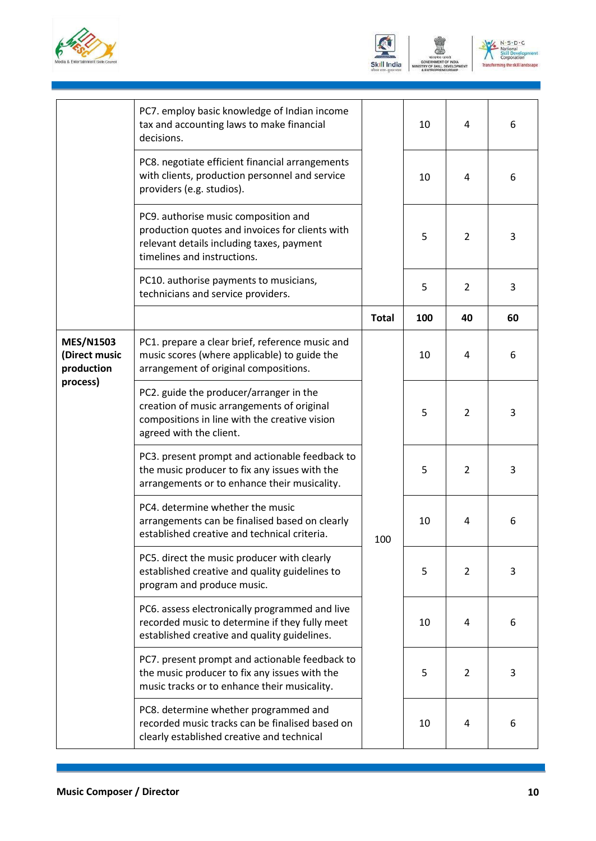

| Skill India | ۳<br><b>GOVERNMEN</b><br>. 1 |
|-------------|------------------------------|



|                                                                                                                                                                                                                                                                                                                                                                                                                                                                                                                                                                                                                                                                                                                    | PC7. employ basic knowledge of Indian income<br>tax and accounting laws to make financial<br>decisions.                                                             |              | 10  | $\overline{4}$ | 6  |
|--------------------------------------------------------------------------------------------------------------------------------------------------------------------------------------------------------------------------------------------------------------------------------------------------------------------------------------------------------------------------------------------------------------------------------------------------------------------------------------------------------------------------------------------------------------------------------------------------------------------------------------------------------------------------------------------------------------------|---------------------------------------------------------------------------------------------------------------------------------------------------------------------|--------------|-----|----------------|----|
|                                                                                                                                                                                                                                                                                                                                                                                                                                                                                                                                                                                                                                                                                                                    | PC8. negotiate efficient financial arrangements<br>with clients, production personnel and service<br>providers (e.g. studios).                                      |              | 10  | 4              | 6  |
|                                                                                                                                                                                                                                                                                                                                                                                                                                                                                                                                                                                                                                                                                                                    | PC9. authorise music composition and<br>production quotes and invoices for clients with<br>relevant details including taxes, payment<br>timelines and instructions. |              | 5   | $\overline{2}$ | 3  |
|                                                                                                                                                                                                                                                                                                                                                                                                                                                                                                                                                                                                                                                                                                                    | PC10. authorise payments to musicians,<br>technicians and service providers.                                                                                        |              | 5   | $\overline{2}$ | 3  |
|                                                                                                                                                                                                                                                                                                                                                                                                                                                                                                                                                                                                                                                                                                                    |                                                                                                                                                                     | <b>Total</b> | 100 | 40             | 60 |
| <b>MES/N1503</b><br>(Direct music<br>production<br>process)                                                                                                                                                                                                                                                                                                                                                                                                                                                                                                                                                                                                                                                        | PC1. prepare a clear brief, reference music and<br>music scores (where applicable) to guide the<br>arrangement of original compositions.                            |              | 10  | 4              | 6  |
|                                                                                                                                                                                                                                                                                                                                                                                                                                                                                                                                                                                                                                                                                                                    | PC2. guide the producer/arranger in the<br>creation of music arrangements of original<br>compositions in line with the creative vision<br>agreed with the client.   |              | 5   | $\overline{2}$ | 3  |
|                                                                                                                                                                                                                                                                                                                                                                                                                                                                                                                                                                                                                                                                                                                    | PC3. present prompt and actionable feedback to<br>the music producer to fix any issues with the<br>arrangements or to enhance their musicality.                     |              | 5   | $\overline{2}$ | 3  |
| PC4. determine whether the music<br>arrangements can be finalised based on clearly<br>established creative and technical criteria.<br>PC5. direct the music producer with clearly<br>established creative and quality guidelines to<br>program and produce music.<br>PC6. assess electronically programmed and live<br>recorded music to determine if they fully meet<br>established creative and quality guidelines.<br>PC7. present prompt and actionable feedback to<br>the music producer to fix any issues with the<br>music tracks or to enhance their musicality.<br>PC8. determine whether programmed and<br>recorded music tracks can be finalised based on<br>clearly established creative and technical | 100                                                                                                                                                                 | 10           | 4   | 6              |    |
|                                                                                                                                                                                                                                                                                                                                                                                                                                                                                                                                                                                                                                                                                                                    |                                                                                                                                                                     |              | 5   | $\overline{2}$ | 3  |
|                                                                                                                                                                                                                                                                                                                                                                                                                                                                                                                                                                                                                                                                                                                    |                                                                                                                                                                     |              | 10  | 4              | 6  |
|                                                                                                                                                                                                                                                                                                                                                                                                                                                                                                                                                                                                                                                                                                                    |                                                                                                                                                                     |              | 5   | $\overline{2}$ | 3  |
|                                                                                                                                                                                                                                                                                                                                                                                                                                                                                                                                                                                                                                                                                                                    |                                                                                                                                                                     |              | 10  | 4              | 6  |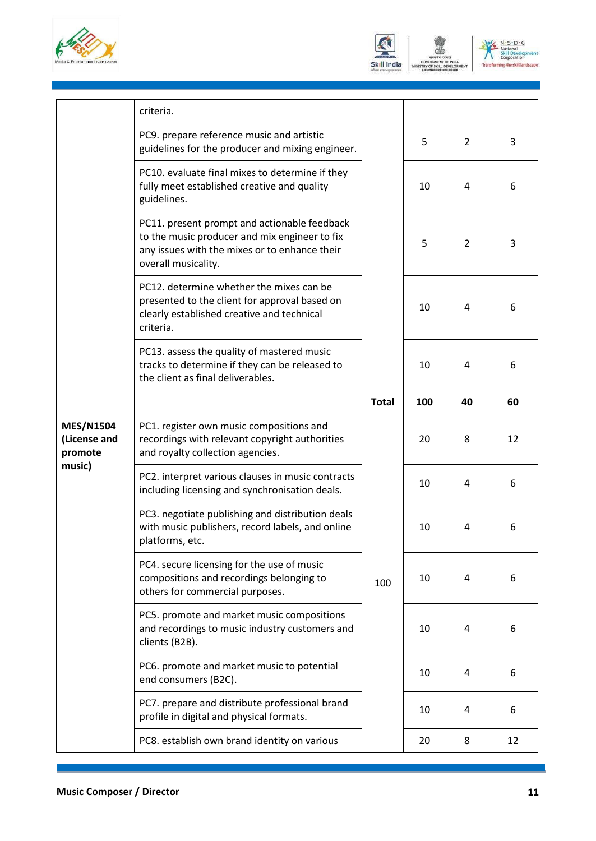





|                                                       | criteria.                                                                                                                                                             |              |     |                |    |
|-------------------------------------------------------|-----------------------------------------------------------------------------------------------------------------------------------------------------------------------|--------------|-----|----------------|----|
|                                                       | PC9. prepare reference music and artistic<br>guidelines for the producer and mixing engineer.                                                                         |              | 5   | $\overline{2}$ | 3  |
|                                                       | PC10. evaluate final mixes to determine if they<br>fully meet established creative and quality<br>guidelines.                                                         |              | 10  | 4              | 6  |
|                                                       | PC11. present prompt and actionable feedback<br>to the music producer and mix engineer to fix<br>any issues with the mixes or to enhance their<br>overall musicality. |              | 5   | 2              | 3  |
|                                                       | PC12. determine whether the mixes can be<br>presented to the client for approval based on<br>clearly established creative and technical<br>criteria.                  |              | 10  | 4              | 6  |
|                                                       | PC13. assess the quality of mastered music<br>tracks to determine if they can be released to<br>the client as final deliverables.                                     |              | 10  | $\overline{4}$ | 6  |
|                                                       |                                                                                                                                                                       | <b>Total</b> | 100 | 40             | 60 |
| <b>MES/N1504</b><br>(License and<br>promote<br>music) | PC1. register own music compositions and<br>recordings with relevant copyright authorities<br>and royalty collection agencies.                                        | 100          | 20  | 8              | 12 |
|                                                       | PC2. interpret various clauses in music contracts<br>including licensing and synchronisation deals.                                                                   |              | 10  | 4              | 6  |
|                                                       | PC3. negotiate publishing and distribution deals<br>with music publishers, record labels, and online<br>platforms, etc.                                               |              | 10  | 4              | 6  |
|                                                       | PC4. secure licensing for the use of music<br>compositions and recordings belonging to<br>others for commercial purposes.                                             |              | 10  | 4              | 6  |
|                                                       | PC5. promote and market music compositions<br>and recordings to music industry customers and<br>clients (B2B).                                                        |              | 10  | 4              | 6  |
|                                                       | PC6. promote and market music to potential<br>end consumers (B2C).                                                                                                    |              | 10  | 4              | 6  |
|                                                       | PC7. prepare and distribute professional brand<br>profile in digital and physical formats.                                                                            |              | 10  | 4              | 6  |
|                                                       | PC8. establish own brand identity on various                                                                                                                          |              | 20  | 8              | 12 |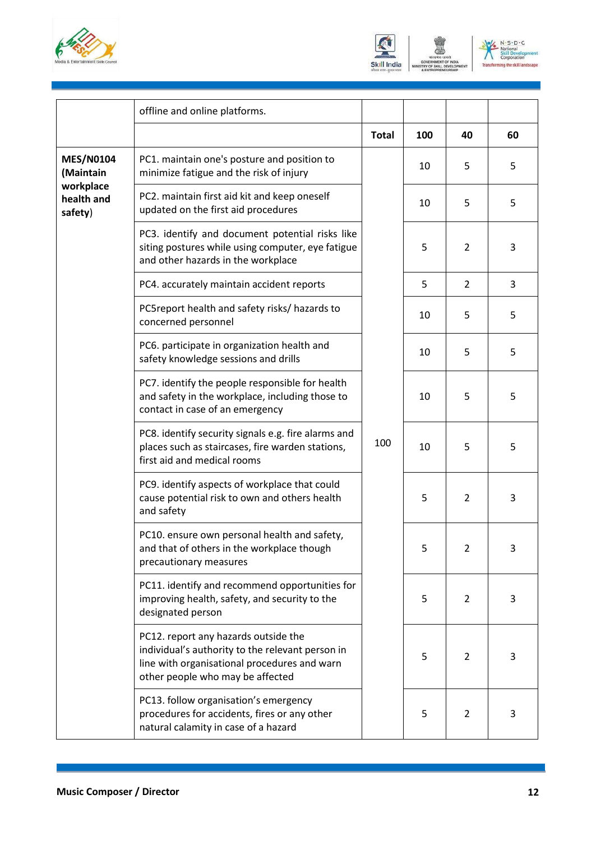





|                                                                     | offline and online platforms.                                                                                                                                                |              |     |                |    |
|---------------------------------------------------------------------|------------------------------------------------------------------------------------------------------------------------------------------------------------------------------|--------------|-----|----------------|----|
|                                                                     |                                                                                                                                                                              | <b>Total</b> | 100 | 40             | 60 |
| <b>MES/N0104</b><br>(Maintain<br>workplace<br>health and<br>safety) | PC1. maintain one's posture and position to<br>minimize fatigue and the risk of injury                                                                                       |              | 10  | 5              | 5  |
|                                                                     | PC2. maintain first aid kit and keep oneself<br>updated on the first aid procedures                                                                                          |              | 10  | 5              | 5  |
|                                                                     | PC3. identify and document potential risks like<br>siting postures while using computer, eye fatigue<br>and other hazards in the workplace                                   |              | 5   | $\overline{2}$ | 3  |
|                                                                     | PC4. accurately maintain accident reports                                                                                                                                    |              | 5   | 2              | 3  |
|                                                                     | PC5report health and safety risks/ hazards to<br>concerned personnel                                                                                                         |              | 10  | 5              | 5  |
|                                                                     | PC6. participate in organization health and<br>safety knowledge sessions and drills                                                                                          |              | 10  | 5              | 5  |
|                                                                     | PC7. identify the people responsible for health<br>and safety in the workplace, including those to<br>contact in case of an emergency                                        | 100          | 10  | 5              | 5  |
|                                                                     | PC8. identify security signals e.g. fire alarms and<br>places such as staircases, fire warden stations,<br>first aid and medical rooms                                       |              | 10  | 5              | 5  |
|                                                                     | PC9. identify aspects of workplace that could<br>cause potential risk to own and others health<br>and safety                                                                 |              | 5   | 2              | 3  |
|                                                                     | PC10. ensure own personal health and safety,<br>and that of others in the workplace though<br>precautionary measures                                                         |              | 5   | $\overline{2}$ | 3  |
|                                                                     | PC11. identify and recommend opportunities for<br>improving health, safety, and security to the<br>designated person                                                         |              | 5   | $\overline{2}$ | 3  |
|                                                                     | PC12. report any hazards outside the<br>individual's authority to the relevant person in<br>line with organisational procedures and warn<br>other people who may be affected |              | 5   | $\overline{2}$ | 3  |
|                                                                     | PC13. follow organisation's emergency<br>procedures for accidents, fires or any other<br>natural calamity in case of a hazard                                                |              | 5   | $\overline{2}$ | 3  |